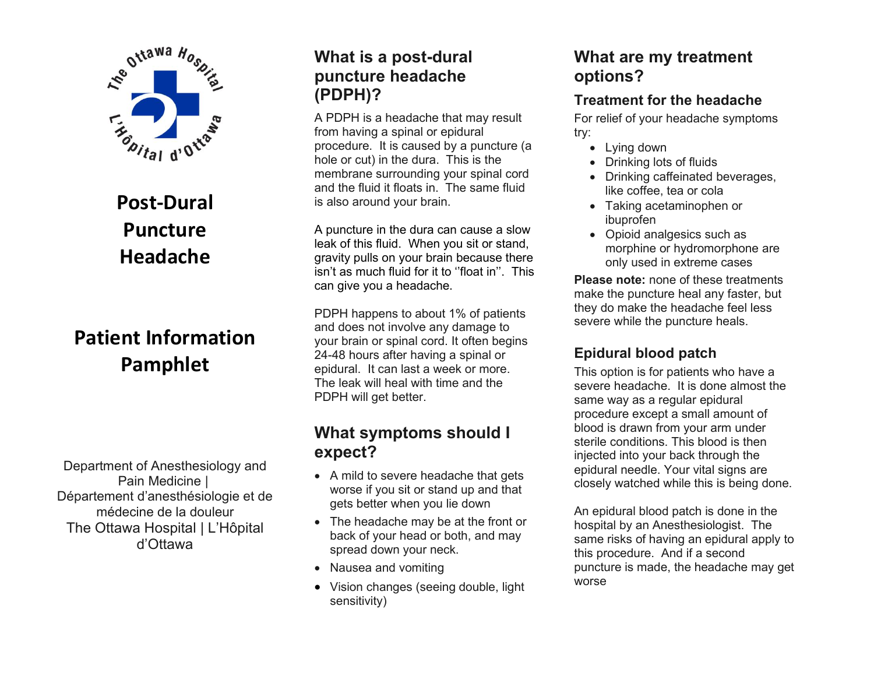

# **Post-Dural Puncture Headache**

# **Patient Information Pamphlet**

Department of Anesthesiology and Pain Medicine | Département d'anesthésiologie et de médecine de la douleur The Ottawa Hospital | L'Hôpital d'Ottawa

### **What is a post-dural puncture headache (PDPH)?**

A PDPH is a headache that may result from having a spinal or epidural procedure. It is caused by a puncture (a hole or cut) in the dura. This is the membrane surrounding your spinal cord and the fluid it floats in. The same fluid is also around your brain.

A puncture in the dura can cause a slow leak of this fluid. When you sit or stand, gravity pulls on your brain because there isn't as much fluid for it to ''float in''. This can give you a headache.

PDPH happens to about 1% of patients and does not involve any damage to your brain or spinal cord. It often begins 24-48 hours after having a spinal or epidural. It can last a week or more. The leak will heal with time and the PDPH will get better.

#### **What symptoms should I expect?**

- A mild to severe headache that gets worse if you sit or stand up and that gets better when you lie down
- The headache may be at the front or back of your head or both, and may spread down your neck.
- Nausea and vomiting
- Vision changes (seeing double, light sensitivity)

### **What are my treatment options?**

#### **Treatment for the headache**

For relief of your headache symptoms try:

- Lying down
- Drinking lots of fluids
- Drinking caffeinated beverages, like coffee, tea or cola
- Taking acetaminophen or ibuprofen
- Opioid analgesics such as morphine or hydromorphone are only used in extreme cases

**Please note:** none of these treatments make the puncture heal any faster, but they do make the headache feel less severe while the puncture heals.

#### **Epidural blood patch**

This option is for patients who have a severe headache. It is done almost the same way as a regular epidural procedure except a small amount of blood is drawn from your arm under sterile conditions. This blood is then injected into your back through the epidural needle. Your vital signs are closely watched while this is being done.

An epidural blood patch is done in the hospital by an Anesthesiologist. The same risks of having an epidural apply to this procedure. And if a second puncture is made, the headache may get worse